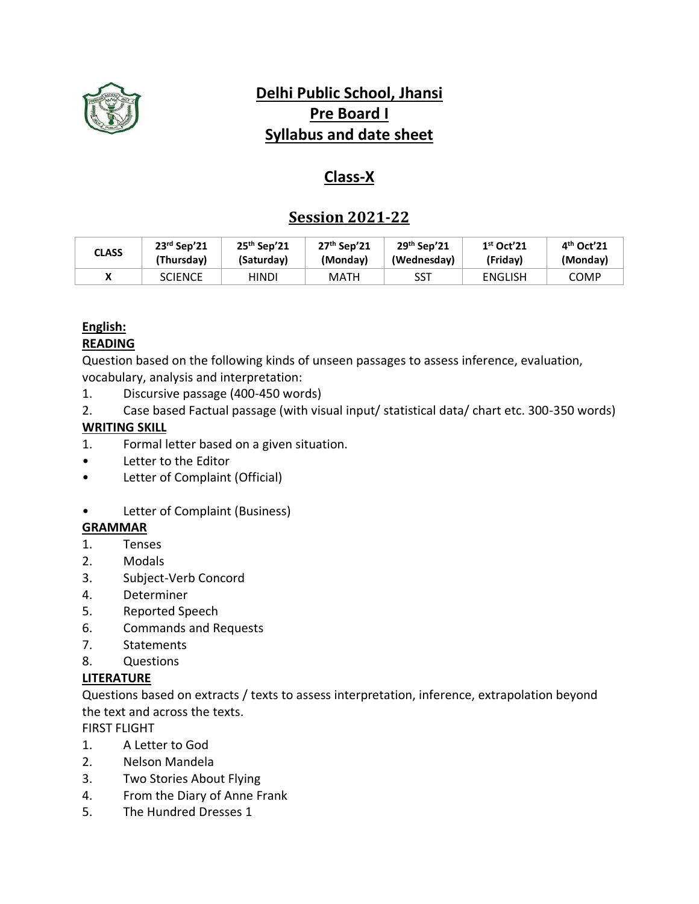

# **Delhi Public School, Jhansi Pre Board I Syllabus and date sheet**

# **Class-X**

## **Session 2021-22**

| CLASS | $23rd$ Sep'21  | $25th$ Sep'21 | $27th$ Sep'21 | $29th$ Sep'21 | $1st$ Oct'21   | $4th$ Oct'21 |
|-------|----------------|---------------|---------------|---------------|----------------|--------------|
|       | (Thursday)     | (Saturday)    | (Monday)      | (Wednesday)   | (Friday)       | (Monday)     |
|       | <b>SCIENCE</b> | HINDI         | MATH          | SST           | <b>ENGLISH</b> | <b>COMP</b>  |

# **English:**

### **READING**

Question based on the following kinds of unseen passages to assess inference, evaluation, vocabulary, analysis and interpretation:

- 1. Discursive passage (400-450 words)
- 2. Case based Factual passage (with visual input/ statistical data/ chart etc. 300-350 words)

### **WRITING SKILL**

- 1. Formal letter based on a given situation.
- Letter to the Editor
- Letter of Complaint (Official)
- Letter of Complaint (Business)

#### **GRAMMAR**

- 1. Tenses
- 2. Modals
- 3. Subject-Verb Concord
- 4. Determiner
- 5. Reported Speech
- 6. Commands and Requests
- 7. Statements
- 8. Questions

#### **LITERATURE**

Questions based on extracts / texts to assess interpretation, inference, extrapolation beyond the text and across the texts.

FIRST FLIGHT

- 1. A Letter to God
- 2. Nelson Mandela
- 3. Two Stories About Flying
- 4. From the Diary of Anne Frank
- 5. The Hundred Dresses 1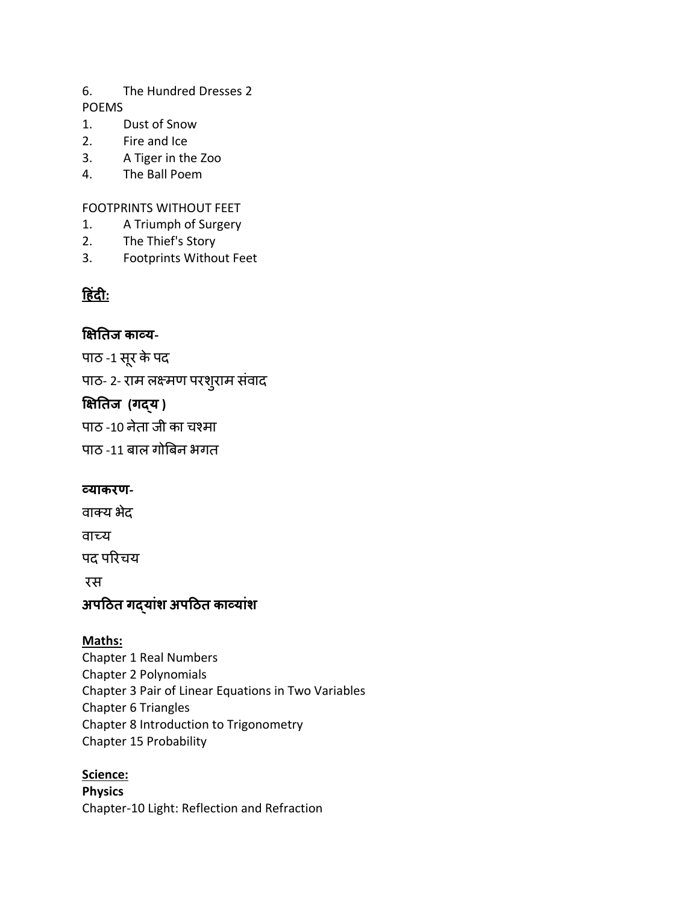#### 6. The Hundred Dresses 2 POEMS

- 1. Dust of Snow
- 2. Fire and Ice
- 3. A Tiger in the Zoo
- 4. The Ball Poem

### FOOTPRINTS WITHOUT FEET

- 1. A Triumph of Surgery
- 2. The Thief's Story
- 3. Footprints Without Feet

# **ह िंदी:**

### **क्षितिज काव्य-**

पाठ -1 सूर केपद

पाठ- 2- राम लक्ष्मण परशुराम संवाद

### **क्षितिज (गद्य )**

पाठ -10 नेता जी का चश्मा

पाठ -11 बाल गोबबन भगत

### **व्याकरण-**

वाक्य भेद

वाच्य

पद परिचय

रस

# **अपहिि गद्यािंश अपहिि काव्यािंश**

### **Maths:**

Chapter 1 Real Numbers Chapter 2 Polynomials Chapter 3 Pair of Linear Equations in Two Variables Chapter 6 Triangles Chapter 8 Introduction to Trigonometry Chapter 15 Probability

### **Science:**

**Physics** Chapter-10 Light: Reflection and Refraction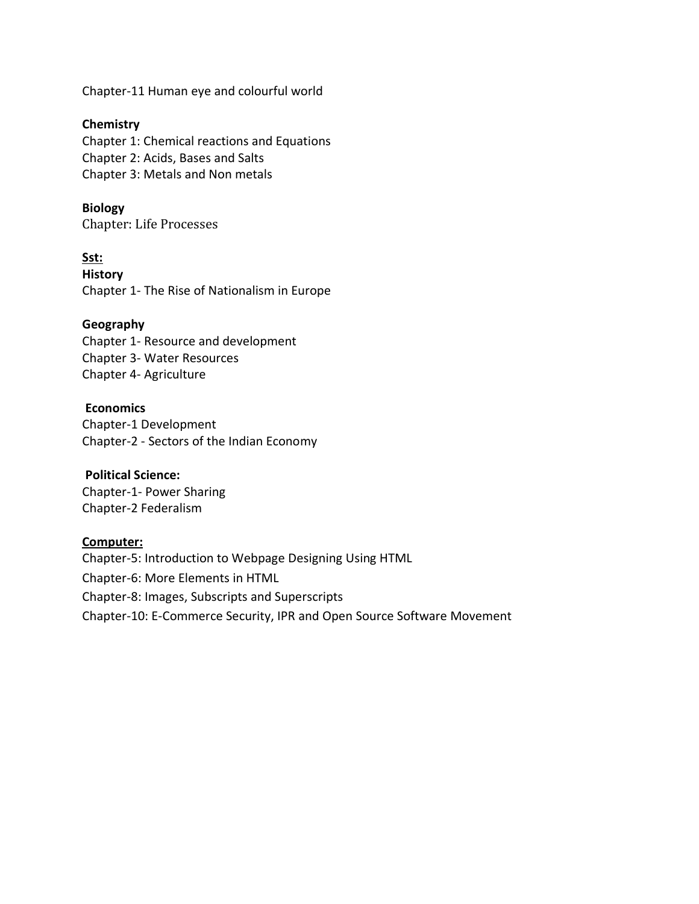Chapter-11 Human eye and colourful world

#### **Chemistry**

Chapter 1: Chemical reactions and Equations Chapter 2: Acids, Bases and Salts Chapter 3: Metals and Non metals

#### **Biology**

Chapter: Life Processes

#### **Sst: History**  Chapter 1- The Rise of Nationalism in Europe

#### **Geography**

Chapter 1- Resource and development Chapter 3- Water Resources Chapter 4- Agriculture

#### **Economics**

Chapter-1 Development Chapter-2 - Sectors of the Indian Economy

#### **Political Science:**

Chapter-1- Power Sharing Chapter-2 Federalism

#### **Computer:**

Chapter-5: Introduction to Webpage Designing Using HTML Chapter-6: More Elements in HTML Chapter-8: Images, Subscripts and Superscripts Chapter-10: E-Commerce Security, IPR and Open Source Software Movement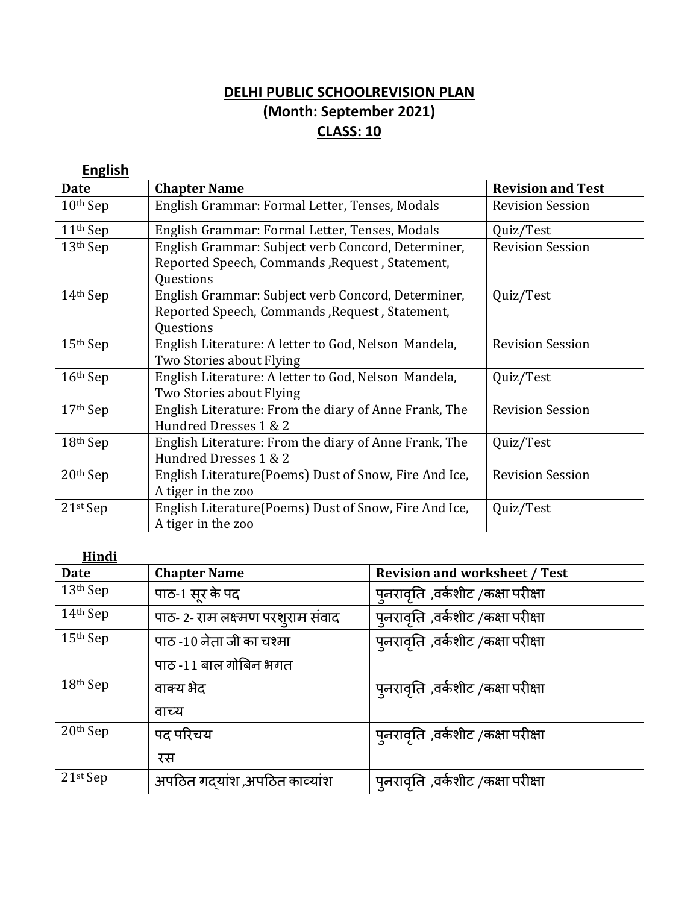# **DELHI PUBLIC SCHOOLREVISION PLAN (Month: September 2021) CLASS: 10**

| <b>English</b>       |                                                        |                          |
|----------------------|--------------------------------------------------------|--------------------------|
| <b>Date</b>          | <b>Chapter Name</b>                                    | <b>Revision and Test</b> |
| $10th$ Sep           | English Grammar: Formal Letter, Tenses, Modals         | <b>Revision Session</b>  |
| 11 <sup>th</sup> Sep | English Grammar: Formal Letter, Tenses, Modals         | Quiz/Test                |
| $13th$ Sep           | English Grammar: Subject verb Concord, Determiner,     | <b>Revision Session</b>  |
|                      | Reported Speech, Commands, Request, Statement,         |                          |
|                      | Questions                                              |                          |
| $14th$ Sep           | English Grammar: Subject verb Concord, Determiner,     | Quiz/Test                |
|                      | Reported Speech, Commands, Request, Statement,         |                          |
|                      | Questions                                              |                          |
| $15th$ Sep           | English Literature: A letter to God, Nelson Mandela,   | <b>Revision Session</b>  |
|                      | Two Stories about Flying                               |                          |
| $16th$ Sep           | English Literature: A letter to God, Nelson Mandela,   | Quiz/Test                |
|                      | Two Stories about Flying                               |                          |
| $17th$ Sep           | English Literature: From the diary of Anne Frank, The  | <b>Revision Session</b>  |
|                      | Hundred Dresses 1 & 2                                  |                          |
| 18th Sep             | English Literature: From the diary of Anne Frank, The  | Quiz/Test                |
|                      | Hundred Dresses 1 & 2                                  |                          |
| $20th$ Sep           | English Literature(Poems) Dust of Snow, Fire And Ice,  | <b>Revision Session</b>  |
|                      | A tiger in the zoo                                     |                          |
| $21st$ Sep           | English Literature (Poems) Dust of Snow, Fire And Ice, | Quiz/Test                |
|                      | A tiger in the zoo                                     |                          |

| Hindi                |                                   |                                           |
|----------------------|-----------------------------------|-------------------------------------------|
| <b>Date</b>          | <b>Chapter Name</b>               | <b>Revision and worksheet / Test</b>      |
| 13 <sup>th</sup> Sep | पाठ-1 सूर के पद                   | पुनरावृति ,वर्कशीट /कक्षा परीक्षा         |
| 14th Sep             | पाठ- 2- राम लक्ष्मण परशुराम संवाद | पुनरावृति ,वर्कशीट /कक्षा परीक्षा         |
| 15th Sep             | पाठ -10 नेता जी का चश्मा          | पुनरावृति ,वर्कशीट /कक्षा परीक्षा         |
|                      | पाठ -11 बाल गोबिन भगत             |                                           |
| 18th Sep             | वाक्य भेद                         | प् <b>नरावृति</b> ,वर्कशीट /कक्षा परीक्षा |
|                      | वाच्य                             |                                           |
| 20th Sep             | पद परिचय                          | पुनरावृति ,वर्कशीट /कक्षा परीक्षा         |
|                      | रस                                |                                           |
| $21st$ Sep           | अपठित गद्यांश ,अपठित काव्यांश     | पुनरावृति ,वर्कशीट /कक्षा परीक्षा         |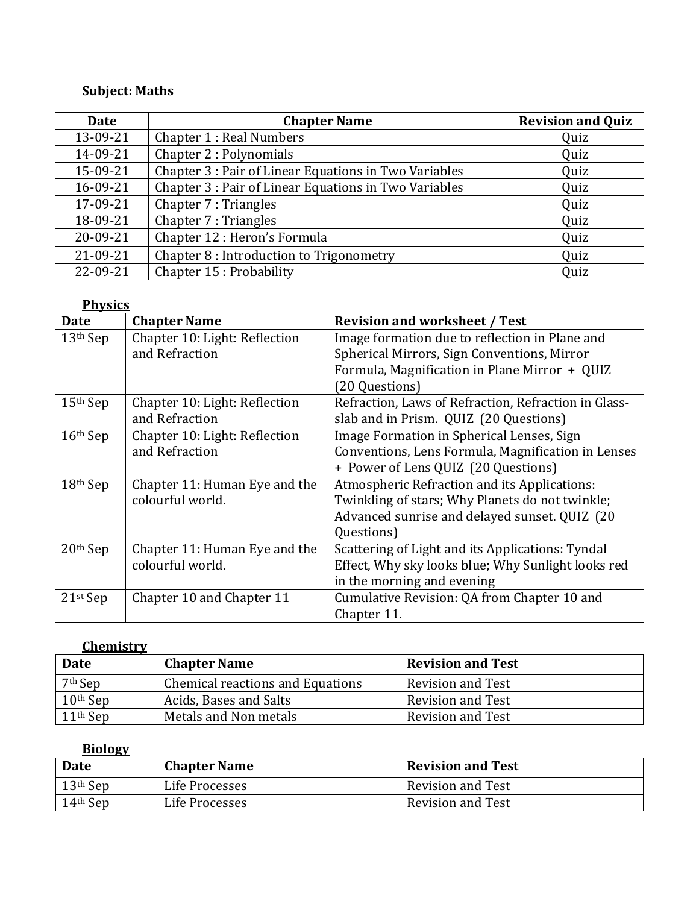# **Subject: Maths**

| Date     | <b>Chapter Name</b>                                   | <b>Revision and Quiz</b> |
|----------|-------------------------------------------------------|--------------------------|
| 13-09-21 | <b>Chapter 1: Real Numbers</b>                        | Quiz                     |
| 14-09-21 | Chapter 2 : Polynomials                               | Quiz                     |
| 15-09-21 | Chapter 3 : Pair of Linear Equations in Two Variables | Quiz                     |
| 16-09-21 | Chapter 3 : Pair of Linear Equations in Two Variables | Quiz                     |
| 17-09-21 | Chapter 7 : Triangles                                 | Quiz                     |
| 18-09-21 | Chapter 7 : Triangles                                 | Quiz                     |
| 20-09-21 | Chapter 12 : Heron's Formula                          | Quiz                     |
| 21-09-21 | Chapter 8 : Introduction to Trigonometry              | Quiz                     |
| 22-09-21 | Chapter 15 : Probability                              | Quiz                     |

|             | <b>Physics</b>                |                                                      |  |  |  |
|-------------|-------------------------------|------------------------------------------------------|--|--|--|
| <b>Date</b> | <b>Chapter Name</b>           | <b>Revision and worksheet / Test</b>                 |  |  |  |
| $13th$ Sep  | Chapter 10: Light: Reflection | Image formation due to reflection in Plane and       |  |  |  |
|             | and Refraction                | Spherical Mirrors, Sign Conventions, Mirror          |  |  |  |
|             |                               | Formula, Magnification in Plane Mirror + QUIZ        |  |  |  |
|             |                               | (20 Questions)                                       |  |  |  |
| $15th$ Sep  | Chapter 10: Light: Reflection | Refraction, Laws of Refraction, Refraction in Glass- |  |  |  |
|             | and Refraction                | slab and in Prism. QUIZ (20 Questions)               |  |  |  |
| $16th$ Sep  | Chapter 10: Light: Reflection | Image Formation in Spherical Lenses, Sign            |  |  |  |
|             | and Refraction                | Conventions, Lens Formula, Magnification in Lenses   |  |  |  |
|             |                               | + Power of Lens QUIZ (20 Questions)                  |  |  |  |
| $18th$ Sep  | Chapter 11: Human Eye and the | Atmospheric Refraction and its Applications:         |  |  |  |
|             | colourful world.              | Twinkling of stars; Why Planets do not twinkle;      |  |  |  |
|             |                               | Advanced sunrise and delayed sunset. QUIZ (20        |  |  |  |
|             |                               | Questions)                                           |  |  |  |
| $20th$ Sep  | Chapter 11: Human Eye and the | Scattering of Light and its Applications: Tyndal     |  |  |  |
|             | colourful world.              | Effect, Why sky looks blue; Why Sunlight looks red   |  |  |  |
|             |                               | in the morning and evening                           |  |  |  |
| $21st$ Sep  | Chapter 10 and Chapter 11     | Cumulative Revision: QA from Chapter 10 and          |  |  |  |
|             |                               | Chapter 11.                                          |  |  |  |

### **Chemistry**

| <b>Date</b>         | <b>Chapter Name</b>                     | <b>Revision and Test</b> |
|---------------------|-----------------------------------------|--------------------------|
| 7 <sup>th</sup> Sep | <b>Chemical reactions and Equations</b> | <b>Revision and Test</b> |
| $10th$ Sep          | Acids, Bases and Salts                  | <b>Revision and Test</b> |
| $11th$ Sep          | Metals and Non metals                   | <b>Revision and Test</b> |

# **Biology**

| <b>Date</b> | <b>Chapter Name</b> | <b>Revision and Test</b> |
|-------------|---------------------|--------------------------|
| $13th$ Sep  | Life Processes      | Revision and Test        |
| $14th$ Sep  | Life Processes      | <b>Revision and Test</b> |